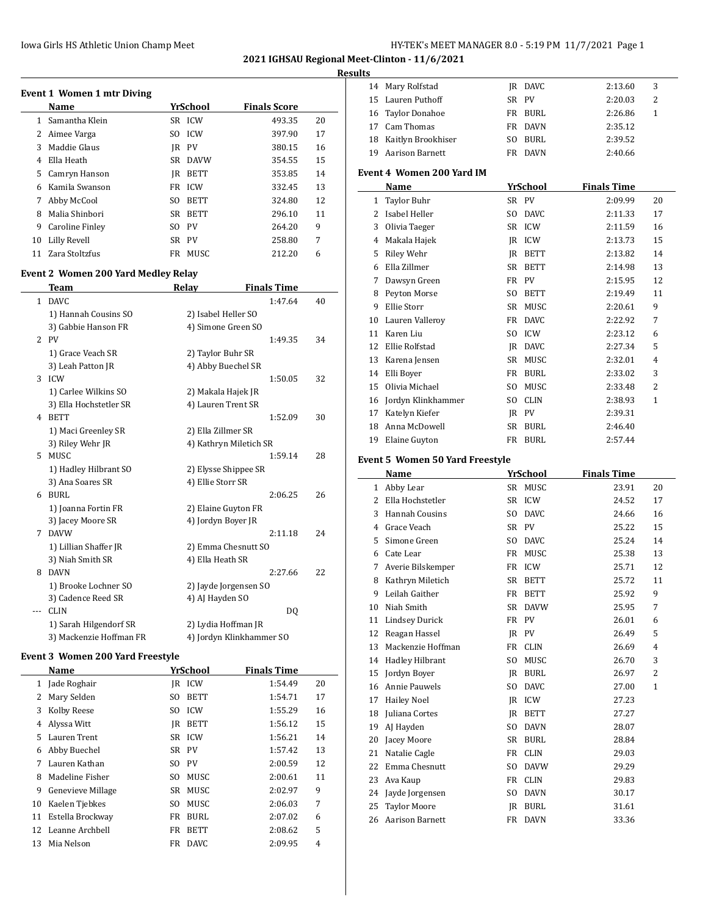**2021 IGHSAU Regional Meet-Clinton - 11/6/2021**

#### **Results**

| Event 1 Women 1 mtr Diving |                 |      |             |                     |    |  |  |  |
|----------------------------|-----------------|------|-------------|---------------------|----|--|--|--|
|                            | <b>Name</b>     |      | YrSchool    | <b>Finals Score</b> |    |  |  |  |
| 1.                         | Samantha Klein  |      | SR ICW      | 493.35              | 20 |  |  |  |
| 2                          | Aimee Varga     | SO.  | <b>ICW</b>  | 397.90              | 17 |  |  |  |
| 3                          | Maddie Glaus    | IR   | <b>PV</b>   | 380.15              | 16 |  |  |  |
| 4                          | Ella Heath      | SR.  | <b>DAVW</b> | 354.55              | 15 |  |  |  |
| 5                          | Camryn Hanson   | IR   | <b>BETT</b> | 353.85              | 14 |  |  |  |
| 6                          | Kamila Swanson  | FR   | <b>ICW</b>  | 332.45              | 13 |  |  |  |
| 7                          | Abby McCool     | SO.  | <b>BETT</b> | 324.80              | 12 |  |  |  |
| 8                          | Malia Shinbori  | SR - | <b>BETT</b> | 296.10              | 11 |  |  |  |
| 9                          | Caroline Finley |      | SO PV       | 264.20              | 9  |  |  |  |
| 10                         | Lilly Revell    |      | SR PV       | 258.80              | 7  |  |  |  |
| 11                         | Zara Stoltzfus  | FR   | MUSC        | 212.20              | 6  |  |  |  |

# **Event 2 Women 200 Yard Medley Relay**

|     | Team                    | Relay                  | <b>Finals Time</b>       |    |
|-----|-------------------------|------------------------|--------------------------|----|
| 1   | <b>DAVC</b>             |                        | 1:47.64                  | 40 |
|     | 1) Hannah Cousins SO    | 2) Isabel Heller SO    |                          |    |
|     | 3) Gabbie Hanson FR     | 4) Simone Green SO     |                          |    |
| 2   | <b>PV</b>               |                        | 1:49.35                  | 34 |
|     | 1) Grace Veach SR       | 2) Taylor Buhr SR      |                          |    |
|     | 3) Leah Patton JR       | 4) Abby Buechel SR     |                          |    |
| 3   | ICW                     |                        | 1:50.05                  | 32 |
|     | 1) Carlee Wilkins SO    | 2) Makala Hajek JR     |                          |    |
|     | 3) Ella Hochstetler SR  | 4) Lauren Trent SR     |                          |    |
| 4   | <b>BETT</b>             |                        | 1:52.09                  | 30 |
|     | 1) Maci Greenley SR     | 2) Ella Zillmer SR     |                          |    |
|     | 3) Riley Wehr JR        | 4) Kathryn Miletich SR |                          |    |
| 5.  | <b>MUSC</b>             |                        | 1:59.14                  | 28 |
|     | 1) Hadley Hilbrant SO   | 2) Elysse Shippee SR   |                          |    |
|     | 3) Ana Soares SR        | 4) Ellie Storr SR      |                          |    |
| 6   | BURL                    |                        | 2:06.25                  | 26 |
|     | 1) Joanna Fortin FR     | 2) Elaine Guyton FR    |                          |    |
|     | 3) Jacey Moore SR       | 4) Jordyn Boyer JR     |                          |    |
| 7   | <b>DAVW</b>             |                        | 2:11.18                  | 24 |
|     | 1) Lillian Shaffer JR   | 2) Emma Chesnutt SO    |                          |    |
|     | 3) Niah Smith SR        | 4) Ella Heath SR       |                          |    |
| 8   | <b>DAVN</b>             |                        | 2:27.66                  | 22 |
|     | 1) Brooke Lochner SO    | 2) Jayde Jorgensen SO  |                          |    |
|     | 3) Cadence Reed SR      | 4) AJ Hayden SO        |                          |    |
| --- | <b>CLIN</b>             |                        | DQ                       |    |
|     | 1) Sarah Hilgendorf SR  | 2) Lydia Hoffman JR    |                          |    |
|     | 3) Mackenzie Hoffman FR |                        | 4) Jordyn Klinkhammer SO |    |

### **Event 3 Women 200 Yard Freestyle**

|    | Name              |     | YrSchool    | <b>Finals Time</b> |         |    |
|----|-------------------|-----|-------------|--------------------|---------|----|
| 1  | Jade Roghair      | IR  | <b>ICW</b>  |                    | 1:54.49 | 20 |
| 2  | Mary Selden       | SO  | <b>BETT</b> |                    | 1:54.71 | 17 |
| 3  | Kolby Reese       | SO. | <b>ICW</b>  |                    | 1:55.29 | 16 |
| 4  | Alyssa Witt       | IR  | <b>BETT</b> |                    | 1:56.12 | 15 |
| 5  | Lauren Trent      |     | SR ICW      |                    | 1:56.21 | 14 |
| 6  | Abby Buechel      |     | SR PV       |                    | 1:57.42 | 13 |
| 7  | Lauren Kathan     | SO. | <b>PV</b>   |                    | 2:00.59 | 12 |
| 8  | Madeline Fisher   | SO. | MUSC        |                    | 2:00.61 | 11 |
| 9  | Genevieve Millage | SR  | MUSC        |                    | 2:02.97 | 9  |
| 10 | Kaelen Tiebkes    | SO. | MUSC        |                    | 2:06.03 | 7  |
| 11 | Estella Brockway  | FR  | BURL        |                    | 2:07.02 | 6  |
| 12 | Leanne Archbell   | FR  | <b>BETT</b> |                    | 2:08.62 | 5  |
| 13 | Mia Nelson        | FR  | DAVC.       |                    | 2:09.95 | 4  |

| 14       | Mary Rolfstad                                 |          | IR DAVC             | 2:13.60            | 3            |
|----------|-----------------------------------------------|----------|---------------------|--------------------|--------------|
| 15       | Lauren Puthoff                                |          | SR PV               | 2:20.03            | 2            |
|          | 16 Taylor Donahoe                             | FR       | BURL                | 2:26.86            | 1            |
|          | 17 Cam Thomas                                 | FR       | <b>DAVN</b>         | 2:35.12            |              |
|          | 18 Kaitlyn Brookhiser                         | SO.      | <b>BURL</b>         | 2:39.52            |              |
| 19       | <b>Aarison Barnett</b>                        |          | FR DAVN             | 2:40.66            |              |
|          | <b>Event 4 Women 200 Yard IM</b>              |          |                     |                    |              |
|          | Name                                          |          | YrSchool            | <b>Finals Time</b> |              |
|          | 1 Taylor Buhr                                 |          | SR PV               | 2:09.99            | 20           |
|          | 2 Isabel Heller                               |          | SO DAVC             | 2:11.33            | 17           |
| 3        | Olivia Taeger                                 |          | SR ICW              | 2:11.59            | 16           |
|          | 4 Makala Hajek                                |          | JR ICW              | 2:13.73            | 15           |
| 5        | Riley Wehr                                    |          | JR BETT             | 2:13.82            | 14           |
| 6        | Ella Zillmer                                  |          | SR BETT             | 2:14.98            | 13           |
| 7        | Dawsyn Green                                  |          | FR PV               | 2:15.95            | 12           |
| 8        | Peyton Morse                                  | SO.      | BETT                | 2:19.49            | 11           |
| 9        | Ellie Storr                                   | SR       | MUSC                | 2:20.61            | 9            |
|          | 10 Lauren Valleroy                            |          | FR DAVC             | 2:22.92            | 7            |
|          | 11 Karen Liu                                  |          | SO ICW              | 2:23.12            | 6            |
|          | 12 Ellie Rolfstad                             |          | JR DAVC             | 2:27.34            | 5            |
|          | 13 Karena Jensen                              |          | SR MUSC             | 2:32.01            | 4            |
|          | 14 Elli Bover                                 |          | FR BURL             | 2:33.02            | 3            |
|          | 15 Olivia Michael                             | SO       | MUSC                | 2:33.48            | 2            |
|          | 16 Jordyn Klinkhammer                         | SO.      | <b>CLIN</b>         | 2:38.93            | 1            |
|          | 17 Katelyn Kiefer                             |          | JR PV               | 2:39.31            |              |
| 18       | Anna McDowell                                 |          | SR BURL             | 2:46.40            |              |
|          | 19 Elaine Guyton                              |          | FR BURL             | 2:57.44            |              |
|          |                                               |          |                     |                    |              |
|          |                                               |          |                     |                    |              |
|          | <b>Event 5 Women 50 Yard Freestyle</b>        |          |                     |                    |              |
|          | Name                                          |          | YrSchool            | <b>Finals Time</b> |              |
|          | 1 Abby Lear                                   |          | SR MUSC             | 23.91              | 20           |
|          | 2 Ella Hochstetler                            | SR       | ICW                 | 24.52              | 17           |
| 3        | Hannah Cousins                                | SO.      | <b>DAVC</b>         | 24.66              | 16           |
|          | 4 Grace Veach                                 |          | SR PV               | 25.22              | 15           |
| 5        | Simone Green                                  |          | SO DAVC             | 25.24              | 14           |
|          | 6 Cate Lear                                   |          | FR MUSC             | 25.38              | 13           |
| 7        | Averie Bilskemper                             |          | FR ICW              | 25.71              | 12           |
| 8        | Kathryn Miletich                              |          | SR BETT             | 25.72              | 11           |
|          | 9 Leilah Gaither                              |          | FR BETT             | 25.92              | 9            |
| 10       | Niah Smith                                    | SR       | DAVW                | 25.95              | 7            |
| 11       | <b>Lindsey Durick</b>                         | FR       | PV                  | 26.01              | 6            |
| 12       | Reagan Hassel                                 | JR       | PV                  | 26.49              | 5            |
| 13       | Mackenzie Hoffman                             | FR       | <b>CLIN</b>         | 26.69              | 4            |
| 14       | Hadley Hilbrant                               | SO       | MUSC                | 26.70              | 3            |
| 15       | Jordyn Boyer                                  |          | IR BURL             | 26.97              | 2            |
| 16       | Annie Pauwels                                 | SO       | <b>DAVC</b>         | 27.00              | $\mathbf{1}$ |
| 17       | <b>Hailey Noel</b>                            |          | JR ICW              | 27.23              |              |
| 18       | Juliana Cortes                                | JR       | BETT                | 27.27              |              |
| 19       | AJ Hayden                                     | SO       | DAVN                | 28.07              |              |
| 20       | Jacey Moore                                   | SR       | BURL                | 28.84              |              |
| 21       | Natalie Cagle                                 | FR       | CLIN                | 29.03              |              |
| 22       | Emma Chesnutt                                 | SO       | <b>DAVW</b>         | 29.29              |              |
| 23       | Ava Kaup                                      | FR       | CLIN                | 29.83              |              |
| 24       | Jayde Jorgensen                               | SO       | DAVN                | 30.17              |              |
| 25<br>26 | <b>Taylor Moore</b><br><b>Aarison Barnett</b> | JR<br>FR | <b>BURL</b><br>DAVN | 31.61<br>33.36     |              |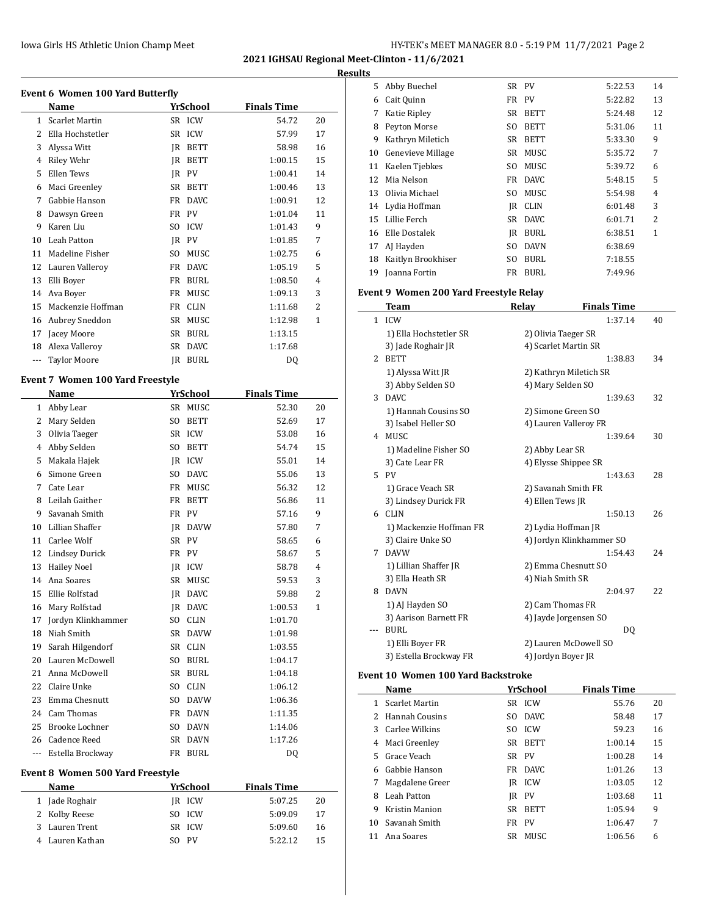| HY-TEK's MEET MANAGER 8.0 - 5:19 PM 11/7/2021 Page 2 |  |
|------------------------------------------------------|--|
|------------------------------------------------------|--|

**2021 IGHSAU Regional Meet-Clinton - 11/6/2021**

**Results**

|              | Name                                    |           | <b>YrSchool</b> | <b>Finals Time</b> |                         |
|--------------|-----------------------------------------|-----------|-----------------|--------------------|-------------------------|
| $\mathbf{1}$ | <b>Scarlet Martin</b>                   |           | SR ICW          | 54.72              | 20                      |
| 2            | Ella Hochstetler                        | SR        | <b>ICW</b>      | 57.99              | 17                      |
| 3            | Alyssa Witt                             | JR        | <b>BETT</b>     | 58.98              | 16                      |
| 4            | Riley Wehr                              | JR        | <b>BETT</b>     | 1:00.15            | 15                      |
| 5            | Ellen Tews                              | JR        | PV              | 1:00.41            | 14                      |
| 6            | Maci Greenley                           | SR        | <b>BETT</b>     | 1:00.46            | 13                      |
| 7            | Gabbie Hanson                           | FR        | <b>DAVC</b>     | 1:00.91            | 12                      |
| 8            | Dawsyn Green                            | FR        | <b>PV</b>       | 1:01.04            | 11                      |
| 9            | Karen Liu                               | SO.       | <b>ICW</b>      | 1:01.43            | 9                       |
| 10           | Leah Patton                             | JR        | PV              | 1:01.85            | 7                       |
| 11           | Madeline Fisher                         | SO.       | MUSC            | 1:02.75            | 6                       |
| 12           | Lauren Valleroy                         | FR        | <b>DAVC</b>     | 1:05.19            | 5                       |
| 13           | Elli Boyer                              | FR        | <b>BURL</b>     | 1:08.50            | 4                       |
| 14           | Ava Boyer                               | FR        | MUSC            | 1:09.13            | 3                       |
| 15           | Mackenzie Hoffman                       | FR        | <b>CLIN</b>     | 1:11.68            | 2                       |
| 16           | Aubrey Sneddon                          | SR        | MUSC            | 1:12.98            | 1                       |
|              |                                         |           |                 |                    |                         |
| 17           | Jacey Moore                             | SR        | <b>BURL</b>     | 1:13.15            |                         |
| 18           | Alexa Valleroy                          | SR        | <b>DAVC</b>     | 1:17.68            |                         |
| ---          | <b>Taylor Moore</b>                     | <b>JR</b> | <b>BURL</b>     | DQ                 |                         |
|              | Event 7 Women 100 Yard Freestyle        |           |                 |                    |                         |
|              | Name                                    |           | YrSchool        | <b>Finals Time</b> |                         |
| $\mathbf{1}$ | Abby Lear                               | SR        | MUSC            | 52.30              | 20                      |
| 2            | Mary Selden                             | SO.       | <b>BETT</b>     | 52.69              | 17                      |
| 3            | Olivia Taeger                           | SR        | ICW             | 53.08              | 16                      |
| 4            | Abby Selden                             | SO.       | <b>BETT</b>     | 54.74              | 15                      |
| 5            | Makala Hajek                            | JR        | <b>ICW</b>      | 55.01              | 14                      |
| 6            | Simone Green                            | SO.       | <b>DAVC</b>     | 55.06              | 13                      |
| 7            | Cate Lear                               | FR        | MUSC            | 56.32              | 12                      |
| 8            | Leilah Gaither                          | FR        | <b>BETT</b>     | 56.86              | 11                      |
| 9            | Savanah Smith                           | FR        | PV              | 57.16              | 9                       |
| 10           | Lillian Shaffer                         | JR        | <b>DAVW</b>     | 57.80              | 7                       |
| 11           | Carlee Wolf                             | SR        | PV              | 58.65              | 6                       |
| 12           | <b>Lindsey Durick</b>                   | FR        | <b>PV</b>       | 58.67              | 5                       |
| 13           | <b>Hailey Noel</b>                      | JR        | <b>ICW</b>      | 58.78              | 4                       |
| 14           | Ana Soares                              | SR        | MUSC            | 59.53              | 3                       |
|              | 15 Ellie Rolfstad                       |           | JR DAVC         | 59.88              | $\overline{\mathbf{c}}$ |
|              | 16 Mary Rolfstad                        |           | JR DAVC         | 1:00.53            | 1                       |
| 17           | Jordyn Klinkhammer                      | SO.       | <b>CLIN</b>     | 1:01.70            |                         |
| 18           | Niah Smith                              | SR        | <b>DAVW</b>     | 1:01.98            |                         |
| 19           | Sarah Hilgendorf                        |           | SR CLIN         | 1:03.55            |                         |
| 20           | Lauren McDowell                         | SO        | <b>BURL</b>     | 1:04.17            |                         |
| 21           | Anna McDowell                           | SR        | <b>BURL</b>     | 1:04.18            |                         |
| 22           |                                         |           |                 |                    |                         |
|              | Claire Unke                             | SO.       | <b>CLIN</b>     | 1:06.12            |                         |
| 23           | Emma Chesnutt                           | SO.       | <b>DAVW</b>     | 1:06.36            |                         |
| 24           | Cam Thomas                              | FR        | DAVN            | 1:11.35            |                         |
| 25           | Brooke Lochner                          | SO.       | <b>DAVN</b>     | 1:14.06            |                         |
|              | 26 Cadence Reed                         | SR        | DAVN            | 1:17.26            |                         |
| ---          | Estella Brockway                        | FR        | BURL            | DQ                 |                         |
|              | <b>Event 8 Women 500 Yard Freestyle</b> |           |                 |                    |                         |
|              |                                         |           |                 |                    |                         |
|              | Name                                    |           | <u>YrSchool</u> | <b>Finals Time</b> |                         |

2 Kolby Reese SO ICW 5:09.09 17 Lauren Trent SR ICW 5:09.60 16 Lauren Kathan SO PV 5:22.12 15

| s  |                    |     |             |         |    |
|----|--------------------|-----|-------------|---------|----|
| 5  | Abby Buechel       |     | SR PV       | 5:22.53 | 14 |
| 6  | Cait Quinn         |     | FR PV       | 5:22.82 | 13 |
| 7  | Katie Ripley       | SR  | <b>BETT</b> | 5:24.48 | 12 |
| 8  | Peyton Morse       | SO. | <b>BETT</b> | 5:31.06 | 11 |
| 9  | Kathryn Miletich   | SR  | <b>BETT</b> | 5:33.30 | 9  |
| 10 | Genevieve Millage  | SR  | MUSC        | 5:35.72 | 7  |
| 11 | Kaelen Tiebkes     | SO. | MUSC        | 5:39.72 | 6  |
| 12 | Mia Nelson         | FR  | <b>DAVC</b> | 5:48.15 | 5  |
| 13 | Olivia Michael     | SO. | MUSC        | 5:54.98 | 4  |
| 14 | Lydia Hoffman      | IR  | <b>CLIN</b> | 6:01.48 | 3  |
| 15 | Lillie Ferch       | SR  | <b>DAVC</b> | 6:01.71 | 2  |
| 16 | Elle Dostalek      | IR  | <b>BURL</b> | 6:38.51 | 1  |
| 17 | AJ Hayden          | SO. | <b>DAVN</b> | 6:38.69 |    |
| 18 | Kaitlyn Brookhiser | SO. | <b>BURL</b> | 7:18.55 |    |
| 19 | Joanna Fortin      | FR  | BURL        | 7:49.96 |    |

# **Event 9 Women 200 Yard Freestyle Relay**

|              | <b>Team</b>             | <b>Relay</b>             | <b>Finals Time</b> |    |
|--------------|-------------------------|--------------------------|--------------------|----|
| $\mathbf{1}$ | ICW                     |                          | 1:37.14            | 40 |
|              | 1) Ella Hochstetler SR  | 2) Olivia Taeger SR      |                    |    |
|              | 3) Jade Roghair JR      | 4) Scarlet Martin SR     |                    |    |
| 2            | <b>BETT</b>             |                          | 1:38.83            | 34 |
|              | 1) Alyssa Witt JR       | 2) Kathryn Miletich SR   |                    |    |
|              | 3) Abby Selden SO       | 4) Mary Selden SO        |                    |    |
| 3            | DAVC                    |                          | 1:39.63            | 32 |
|              | 1) Hannah Cousins SO    | 2) Simone Green SO       |                    |    |
|              | 3) Isabel Heller SO     | 4) Lauren Valleroy FR    |                    |    |
| 4            | MUSC                    |                          | 1:39.64            | 30 |
|              | 1) Madeline Fisher SO   | 2) Abby Lear SR          |                    |    |
|              | 3) Cate Lear FR         | 4) Elysse Shippee SR     |                    |    |
|              | 5 PV                    |                          | 1:43.63            | 28 |
|              | 1) Grace Veach SR       | 2) Savanah Smith FR      |                    |    |
|              | 3) Lindsey Durick FR    | 4) Ellen Tews JR         |                    |    |
|              | 6 CLIN                  |                          | 1:50.13            | 26 |
|              | 1) Mackenzie Hoffman FR | 2) Lydia Hoffman JR      |                    |    |
|              | 3) Claire Unke SO       | 4) Jordyn Klinkhammer SO |                    |    |
| 7            | <b>DAVW</b>             |                          | 1:54.43            | 24 |
|              | 1) Lillian Shaffer JR   | 2) Emma Chesnutt SO      |                    |    |
|              | 3) Ella Heath SR        | 4) Niah Smith SR         |                    |    |
| 8            | <b>DAVN</b>             |                          | 2:04.97            | 22 |
|              | 1) AJ Hayden SO         | 2) Cam Thomas FR         |                    |    |
|              | 3) Aarison Barnett FR   | 4) Jayde Jorgensen SO    |                    |    |
| $---$        | <b>BURL</b>             |                          | DQ                 |    |
|              | 1) Elli Boyer FR        | 2) Lauren McDowell SO    |                    |    |
|              | 3) Estella Brockway FR  | 4) Jordyn Boyer JR       |                    |    |

## **Event 10 Women 100 Yard Backstroke**

 $\overline{a}$ 

|    | Name            |       | YrSchool      | <b>Finals Time</b> |    |
|----|-----------------|-------|---------------|--------------------|----|
|    | Scarlet Martin  |       | SR ICW        | 55.76              | 20 |
|    | Hannah Cousins  | SO.   | DAVC.         | 58.48              | 17 |
| 3. | Carlee Wilkins  | SO.   | <b>ICW</b>    | 59.23              | 16 |
| 4  | Maci Greenley   | SR.   | <b>BETT</b>   | 1:00.14            | 15 |
| 5. | Grace Veach     | SR PV |               | 1:00.28            | 14 |
| 6. | Gabbie Hanson   |       | FR DAVC       | 1:01.26            | 13 |
| 7  | Magdalene Greer | IR    | <b>ICW</b>    | 1:03.05            | 12 |
| 8  | Leah Patton     |       | IR PV         | 1:03.68            | 11 |
| 9  | Kristin Manion  |       | SR BETT       | 1:05.94            | 9  |
| 10 | Savanah Smith   | FR    | <sub>PV</sub> | 1:06.47            | 7  |
| 11 | Ana Soares      | SR.   | <b>MUSC</b>   | 1:06.56            | 6  |